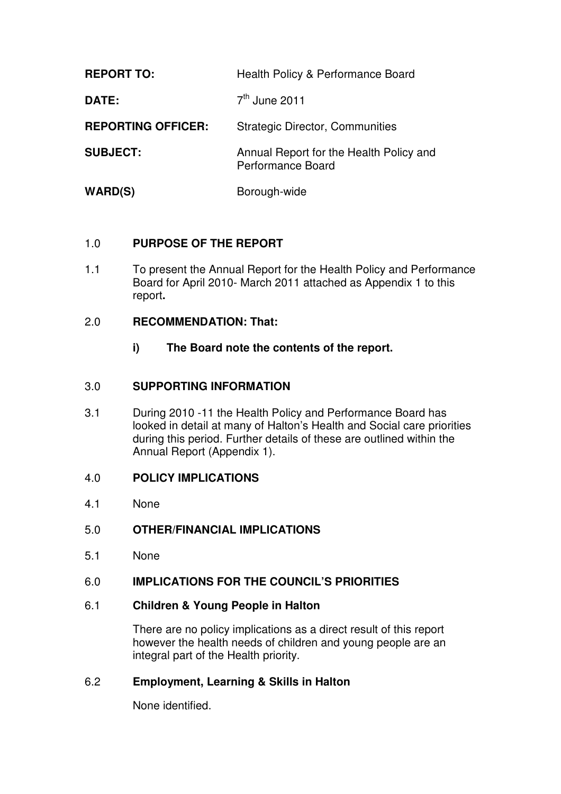| <b>REPORT TO:</b>         | Health Policy & Performance Board                                   |
|---------------------------|---------------------------------------------------------------------|
| DATE:                     | $7th$ June 2011                                                     |
| <b>REPORTING OFFICER:</b> | <b>Strategic Director, Communities</b>                              |
| <b>SUBJECT:</b>           | Annual Report for the Health Policy and<br><b>Performance Board</b> |
| WARD(S)                   | Borough-wide                                                        |

# 1.0 **PURPOSE OF THE REPORT**

1.1 To present the Annual Report for the Health Policy and Performance Board for April 2010- March 2011 attached as Appendix 1 to this report**.** 

#### 2.0 **RECOMMENDATION: That:**

**i) The Board note the contents of the report.** 

## 3.0 **SUPPORTING INFORMATION**

3.1 During 2010 -11 the Health Policy and Performance Board has looked in detail at many of Halton's Health and Social care priorities during this period. Further details of these are outlined within the Annual Report (Appendix 1).

#### 4.0 **POLICY IMPLICATIONS**

- 4.1 None
- 5.0 **OTHER/FINANCIAL IMPLICATIONS**
- 5.1 None

## 6.0 **IMPLICATIONS FOR THE COUNCIL'S PRIORITIES**

#### 6.1 **Children & Young People in Halton**

There are no policy implications as a direct result of this report however the health needs of children and young people are an integral part of the Health priority.

## 6.2 **Employment, Learning & Skills in Halton**

None identified.